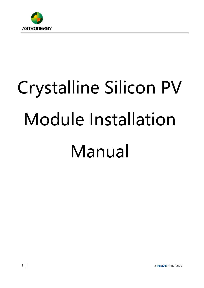

# Crystalline Silicon PV Module Installation Manual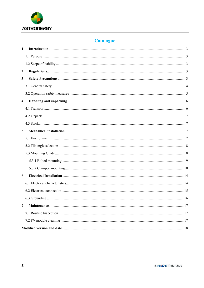

# **Catalogue**

| $\mathbf{1}$            |                |    |
|-------------------------|----------------|----|
|                         |                |    |
|                         |                |    |
| $\boldsymbol{2}$        |                |    |
| $\mathbf{3}$            |                |    |
|                         |                |    |
|                         |                |    |
| $\overline{\mathbf{4}}$ |                |    |
|                         |                |    |
|                         |                |    |
|                         |                |    |
| 5                       |                |    |
|                         |                |    |
|                         |                |    |
|                         |                |    |
|                         |                |    |
|                         |                |    |
| 6                       |                |    |
|                         |                |    |
|                         |                |    |
|                         | 6.3 Grounding. | 16 |
| $\overline{7}$          |                |    |
|                         |                |    |
|                         |                |    |
|                         |                |    |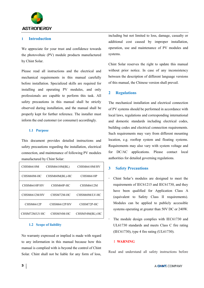

# **1 Introduction**

We appreciate for your trust and confidence towards the photovoltaic (PV) module products manufactured by Chint Solar.

Please read all instructions and the electrical and mechanical requirements in this manual carefully before installation. Specialized skills are required for installing and operating PV modules, and only professionals are capable to perform this task. All safety precautions in this manual shall be strictly observed during installation, and the manual shall be properly kept for further reference. The installer must inform the end customer (or consumer) accordingly.

# **1.1 Purpose**

This document provides detailed instructions and safety precautions regarding the installation, electrical connection, and maintenance of following PV modules manufactured by Chint Solar:

| <b>CHSM6610M</b> | CHSM6610M(BL)  | CHSM6610M/HV     |
|------------------|----------------|------------------|
| CHSM60M-HC       | CHSM60M(BL)-HC | <b>CHSM6610P</b> |
| CHSM6610P/HV     | CHSM60P-HC     | <b>CHSM6612M</b> |
| CHSM6612M/HV     | CHSM72M-HC     | CHSM60M/LV-HC    |
| <b>CHSM6612P</b> | CHSM6612P/HV   | CHSM72P-HC       |
| CHSM72M/LV-HC    | CHSM54M-HC     | CHSM54M(BL)-HC   |

#### **1.2 Scope of liability**

No warranty expressed or implied is made with regard to any information in this manual because how this manual is complied with is beyond the control of Chint Solar. Chint shall not be liable for any form of loss,

including but not limited to loss, damage, casualty or additional cost caused by improper installation, operation, use and maintenance of PV modules and systems.

Chint Solar reserves the right to update this manual without prior notice. In case of any inconsistency between the description of different language versions of this manual, the Chinese version shall prevail.

# **2 Regulations**

The mechanical installation and electrical connection of PV systems should be performed in accordance with local laws, regulations and corresponding international and domestic standards including electrical codes, building codes and electrical connection requirements. Such requirements may vary from different mounting location, e.g. rooftop system and floating systems. Requirements may also vary with system voltage and for DC/AC applications. Please contact local authorities for detailed governing regulations.

# **3 Safety Precautions**

- Chint Solar's modules are designed to meet the requirements of IEC61215 and IEC61730, and they have been qualified for Application Class A (equivalent to Safety Class II requirements). Modules can be applied to publicly accessible systems operating at greater than 50V DC or 240W.
- The module design complies with IEC61730 and UL61730 standards and meets Class C fire rating (IEC61730), type 4 fire rating (UL61730).

# !**WARNING**

Read and understand all safety instructions before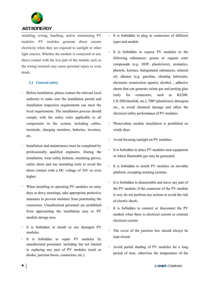

installing, wiring, handling, and/or maintaining PV modules. PV modules generate direct current electricity when they are exposed to sunlight or other light sources. Whether the module is connected or not, direct contact with the live part of the module such as the wiring terminal may cause personal injury or even death.

# **3.1 General safety**

- Before installation, please contact the relevant local authority to make sure the installation permit and installation inspection requirements can meet the local requirements. The installation process should comply with the safety rules applicable to all components in the system, including cables, terminals, charging monitors, batteries, inverters, etc.
- Installation and maintenance must be completed by professionally qualified engineers. During the installation, wear safety helmets, insulating gloves, safety shoes and use insulating tools to avoid the direct contact with a DC voltage of 30V or even higher.
- When installing or operating PV modules on rainy days or dewy mornings, take appropriate protective measures to prevent moisture from penetrating the connectors. Unauthorized personnel are prohibited from approaching the installation area or PV module storage area.
- It is forbidden to install or use damaged PV modules.
- It is forbidden to repair PV modules by unauthorized personnel, including but not limited to replacing any part of PV modules (such as diodes, junction boxes, connectors, etc.).
- It is forbidden to plug in connectors of different types and models.
- It is forbidden to expose PV modules to the following substances: grease or organic ester compounds (e.g. DOP, plasticizers), aromatics, phenols, ketones, halogenated substances, mineral oil, alkanes (e.g. gasoline, cleaning lubricants, electronic resurrection agents), alcohol, , adhesive sheets that can generate oxime gas and potting glue (only for connectors, such as KE200, CX-200/chemlok, etc.), TBP (plasticizer), detergent, etc., to avoid chemical damage and affect the electrical safety performance of PV modules.
- Photovoltaic module installation is prohibited on windy days.
- Avoid focusing sunlight on PV modules.
- It is forbidden to place PV modules near equipment or where flammable gas may be generated.
- It is forbidden to install PV modules on movable platform, excepting tracking systems.
- It is forbidden to disassemble and move any part of the PV module; if the connector of the PV module is wet, do not perform any actions to avoid the risk of electric shock.
- It is forbidden to connect or disconnect the PV module when there is electrical current or external electrical current.
- The cover of the junction box should always be kept closed.
- Avoid partial shading of PV modules for a long period of time, otherwise the temperature of the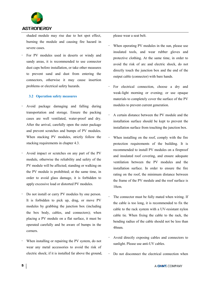

shaded module may rise due to hot spot effect, burning the module and causing fire hazard in severe cases.

 For PV modules used in deserts or windy and sandy areas, it is recommended to use connector dust caps before installation, or take other measures to prevent sand and dust from entering the connectors, otherwise it may cause insertion problems or electrical safety hazards.

#### **3.2 Operation safety measures**

- Avoid package damaging and falling during transportation and storage. Ensure the packing cases are well ventilated, water-proof and dry. After the arrival, carefully open the outer package and prevent scratches and bumps of PV modules. When stacking PV modules, strictly follow the stacking requirements in chapter 4.3.
- Avoid impact or scratches on any part of the PV module, otherwise the reliability and safety of the PV module will be affected; standing or walking on the PV module is prohibited; at the same time, in order to avoid glass damage, it is forbidden to apply excessive load or distorted PV modules.
- Do not install or carry PV modules by one person. It is forbidden to pick up, drag, or move PV modules by grabbing the junction box (including the box body, cables, and connectors); when placing a PV module on a flat surface, it must be operated carefully and be aware of bumps in the corners.
- When installing or repairing the PV system, do not wear any metal accessories to avoid the risk of electric shock; if it is installed far above the ground,

please wear a seat belt.

- When operating PV modules in the sun, please use insulated tools, and wear rubber gloves and protective clothing. At the same time, in order to avoid the risk of arc and electric shock, do not directly touch the junction box and the end of the output cable (connector) with bare hands.
- For electrical connection, choose a dry and weak-light morning or evening; or use opaque materials to completely cover the surface of the PV modules to prevent current generation.
- A certain distance between the PV module and the installation surface should be kept to prevent the installation surface from touching the junction box.
- When installing on the roof, comply with the fire protection requirements of the building. It is recommended to install PV modules on a fireproof and insulated roof covering, and ensure adequate ventilation between the PV modules and the installation surface. In order to ensure the fire rating on the roof, the minimum distance between the frame of the PV module and the roof surface is 10cm.
- The connector must be fully mated when wiring. If the cable is too long, it is recommended to fix the cable to the rack system with a UV-resistant nylon cable tie. When fixing the cable to the rack, the bending radius of the cable should not be less than 48mm.
- Avoid directly exposing cables and connectors to sunlight. Please use anti-UV cables.
- Do not disconnect the electrical connection when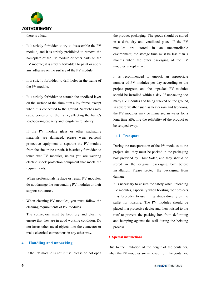

there is a load.

- It is strictly forbidden to try to disassemble the PV module, and it is strictly prohibited to remove the nameplate of the PV module or other parts on the PV module; it is strictly forbidden to paint or apply any adhesive on the surface of the PV module.
- It is strictly forbidden to drill holes in the frame of the PV module.
- It is strictly forbidden to scratch the anodized layer on the surface of the aluminum alloy frame, except when it is connected to the ground. Scratches may cause corrosion of the frame, affecting the frame's load-bearing capacity and long-term reliability.
- If the PV module glass or other packaging materials are damaged, please wear personal protective equipment to separate the PV module from the site or the circuit. It is strictly forbidden to touch wet PV modules, unless you are wearing electric shock protection equipment that meets the requirements.
- When professionals replace or repair PV modules, do not damage the surrounding PV modules or their support structures.
- When cleaning PV modules, you must follow the cleaning requirements of PV modules.
- The connectors must be kept dry and clean to ensure that they are in good working condition. Do not insert other metal objects into the connector or make electrical connections in any other way.

# **4 Handling and unpacking**

If the PV module is not in use, please do not open

the product packaging. The goods should be stored in a dark, dry and ventilated place. If the PV modules are stored in an uncontrollable environment, the storage time must be less than 3 months when the outer packaging of the PV modules is kept intact.

 It is recommended to unpack an appropriate number of PV modules per day according to the project progress, and the unpacked PV modules should be installed within a day. If unpacking too many PV modules and being stacked on the ground, in severe weather such as heavy rain and typhoons, the PV modules may be immersed in water for a long time affecting the reliability of the product or be scraped away.

#### **4.1 Transport**

- During the transportation of the PV modules to the project site, they must be packed in the packaging box provided by Chint Solar, and they should be stored in the original packaging box before installation. Please protect the packaging from damage.
- It is necessary to ensure the safety when unloading PV modules, especially when hoisting roof projects. It is forbidden to use lifting straps directly on the pallet for hoisting. The PV modules should be placed in a protective device and then hoisted to the roof to prevent the packing box from deforming and bumping against the wall during the hoisting process.

#### !**Special instructions**

Due to the limitation of the height of the container, when the PV modules are removed from the container.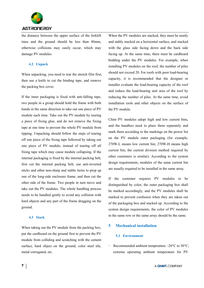

the distance between the upper surface of the forklift tines and the ground should be less than 80mm, otherwise collisions may easily occur, which may damage PV modules.

#### **4.2 Unpack**

When unpacking, you need to tear the stretch film first, then use a knife to cut the binding tape, and remove the packing box cover.

If the inner packaging is fixed with anti-falling tape, two people in a group should hold the frame with both hands in the same direction to take out one piece of PV module each time. Take out the PV module by tearing a piece of fixing glue, and do not remove the fixing tape at one time to prevent the whole PV module from tipping. Unpacking should follow the steps of tearing off one piece of the fixing tape followed by taking out one piece of PV module, instead of tearing off all fixing tape which may cause module collapsing. If the internal packaging is fixed by the internal packing belt, first cut the internal packing belt, use anti-inverted sticks and other non-sharp and stable items to prop up one of the long-side enclosure frame, and then cut the other side of the frame. Two people in turn move and take out the PV modules. The whole handling process needs to be handled gently to avoid any collision with hard objects and any part of the frame dragging on the ground.

#### **4.3 Stack**

When taking out the PV module from the packing box, put the cardboard on the ground first to prevent the PV module from colliding and scratching with the cement surface, hard object on the ground, color steel tile, metal corrugated, etc.

When the PV modules are stacked, they must be neatly and stably stacked on a horizontal surface, and stacked with the glass side facing down and the back side facing up. At the same time, there must be cardboard bedding under the PV modules. For example, when installing PV modules on the roof, the number of piles should not exceed 20. For roofs with poor load-bearing capacity, it is recommended that the designer or installer evaluate the load-bearing capacity of the roof and reduce the load-bearing unit area of the roof by reducing the number of piles. At the same time, avoid installation tools and other objects on the surface of the PV module.

Chint PV modules adopt high and low current bins, and the handlers need to place them separately and mark them according to the markings on the power list on the PV module outer packaging (for example, 270W-L means low current bin; 270W-H means high current bin; the current division method required by other customers is similar); According to the system design requirements, modules of the same current bin are usually required to be installed in the same array.

If the customer requires PV modules to be distinguished by color, the outer packaging box shall be marked accordingly, and the PV modules shall be marked to prevent confusion when they are taken out of the packaging box and stacked up. According to the system design requirements, the color of PV modules in the same row or the same array should be the same.

#### **5 Mechanical installation**

#### **5.1 Environment**

 Recommended ambient temperature: -20°C to 50°C; extreme operating ambient temperature for PV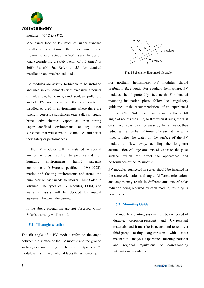

modules: -40 °C to 85°C.

- Mechanical load on PV modules: under standard installation conditions, the maximum tested snow/wind load is 5400 Pa/2400 Pa and the design load (considering a safety factor of 1.5 times) is 3600 Pa/1600 Pa. Refer to 5.3 for detailed installation and mechanical loads.
- PV modules are strictly forbidden to be installed and used in environments with excessive amounts of hail, snow, hurricanes, sand, soot, air pollution, and etc. PV modules are strictly forbidden to be installed or used in environments where there are strongly corrosive substances (e.g. salt, salt spray, brine, active chemical vapors, acid rain, strong vapor confined environments or any other substance that will corrode PV modules and affect their safety or performance).
- If the PV modules will be installed in special environments such as high temperature and high humidity environments, humid salt-mist environments (C3+areas specified in ISO 9223), marine and floating environments and farms, the purchaser or user needs to inform Chint Solar in advance. The types of PV modules, BOM, and warranty issues will be decided by mutual agreement between the parties.
- If the above precautions are not observed, Chint Solar's warranty will be void.

#### **5.2 Tilt angle selection**

The tilt angle of a PV module refers to the angle between the surface of the PV module and the ground surface, as shown in Fig. 1. The power output of a PV module is maximized. when it faces the sun directly.



Fig. 1 Schematic diagram of tilt angle

For northern hemisphere, PV modules should preferably face south. For southern hemisphere, PV modules should preferably face north. For detailed mounting inclination, please follow local regulatory guidelines or the recommendations of an experienced installer. Chint Solar recommends an installation tilt angle of no less than 10°, so that when it rains, the dust on surface is easily carried away by the rainwater, thus reducing the number of times of clean; at the same time, it helps the water on the surface of the PV module to flow away, avoiding the long-term accumulation of large amounts of water on the glass surface, which can affect the appearance and performance of the PV module.

PV modules connected in series should be installed in the same orientation and angle. Different orientations and angles may result in different amounts of solar radiation being received by each module, resulting in power loss.

# **5.3 Mounting Guide**

 PV module mounting system must be composed of durable, corrosion-resistant and UV-resistant materials, and it must be inspected and tested by a third-party testing organization with static mechanical analysis capabilities meeting national and regional regulations or corresponding international standards.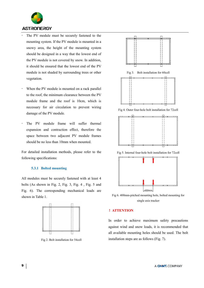

- The PV module must be securely fastened to the mounting system. If the PV module is mounted in a snowy area, the height of the mounting system should be designed in a way that the lowest end of the PV module is not covered by snow. In addition, it should be ensured that the lowest end of the PV module is not shaded by surrounding trees or other vegetation.
- When the PV module is mounted on a rack parallel to the roof, the minimum clearance between the PV module frame and the roof is 10cm, which is necessary for air circulation to prevent wiring damage of the PV module.
- The PV module frame will suffer thermal expansion and contraction effect, therefore the space between two adjacent PV module frames should be no less than 10mm when mounted.

For detailed installation methods, please refer to the following specifications:

#### **5.3.1 Bolted mounting**

All modules must be securely fastened with at least 4 bolts (As shown in Fig. 2, Fig. 3, Fig. 4 , Fig. 5 and Fig. 6). The corresponding mechanical loads are shown in Table 1.



Fig 2. Bolt installation for 54cell



Fig 3. Bolt installation for 60cell



Fig 4. Outer four-hole bolt installation for 72cell



Fig 5. Internal four-hole bolt installation for 72cell



Fig 6. 400mm-pitched mounting hole, bolted mounting for single axis tracker

#### !**ATTENTION**

In order to achieve maximum safety precautions against wind and snow loads, it is recommended that all available mounting holes should be used. The bolt installation steps are as follows (Fig. 7).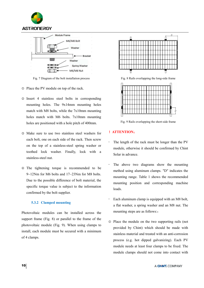



Fig. 7 Diagram of the bolt installation process

- ① Place the PV module on top of the rack.
- ② Insert 4 stainless steel bolts in corresponding mounting holes. The 9x14mm mounting holes match with M8 bolts, while the 7x10mm mounting holes match with M6 bolts. 7x10mm mounting holes are positioned with a hole pitch of 400mm.
- ③ Make sure to use two stainless steel washers for each bolt, one on each side of the rack. Then screw on the top of a stainless-steel spring washer or toothed lock washer. Finally, lock with a stainless-steel nut.
- ④ The tightening torque is recommended to be 9~12Nm for M6 bolts and 17~23Nm for M8 bolts. Due to the possible difference of bolt material, the specific torque value is subject to the information confirmed by the bolt supplier.

# **5.3.2 Clamped mounting**

Photovoltaic modules can be installed across the support frame (Fig. 8) or parallel to the frame of the photovoltaic module (Fig. 9). When using clamps to install, each module must be secured with a minimum of 4 clamps.



Fig. 8 Rails overlapping the long-side frame



Fig. 9 Rails overlapping the short-side frame

# !**ATTENTION**:

- The length of the rack must be longer than the PV module, otherwise it should be confirmed by Chint Solar in advance.
- The above two diagrams show the mounting method using aluminum clamps. "D" indicates the mounting range. Table 1 shows the recommended mounting position and corresponding machine loads.
- Each aluminum clamp is equipped with an M8 bolt, a flat washer, a spring washer and an M8 nut. The mounting steps are as follows::
- ① Place the module on the two supporting rails (not provided by Chint) which should be made with stainless material and treated with an anti-corrosion process (e.g. hot dipped galvanizing). Each PV module needs at least four clamps to be fixed. The module clamps should not come into contact with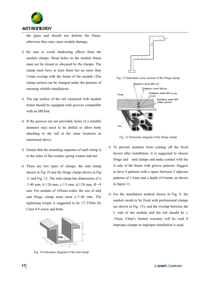

the glass and should not deform the frame, otherwise they may cause module damage.

- ② Be sure to avoid shadowing effects from the module clamps. Weep holes on the module frame must not be closed or obscured by the clamps. The clamp must have at least 8mm but no more than 11mm overlap with the frame of the module (The clamp section can be changed under the premise of ensuring reliable installation).
- ③ The top surface of the rail contacted with module frame should be equipped with grooves compatible with an M8 bolt.
- ④ If the grooves are not provided, holes of a suitable diameter may need to be drilled to allow bolts attaching to the rail at the same locations as mentioned above.
- ⑤ Ensure that the mounting sequence of each clamp is in the order of flat washer, spring washer and nut.
- ⑥ There are two types of clamps, the mid clamp shown in Fig 10 and the fringe clamp shown in Fig 11 and Fig. 12. The mid clamp has dimensions of a  $\geq 40$  mm, b $\geq 26$  mm, c $\geq 5$  mm, d $\geq 28$  mm, Ø =9 mm. For module of 182mm-wafer, the size of mid and fringe clamp must meet  $a \ge 60$  mm. The tightening torque is suggested to be 17~23Nm for Class 8.8 screw and bolts.



Fig. 10 Schematic diagram of the mid clamp



Fig. 11 Schematic cross section of the fringe clamp



Fig. 12 Schematic diagram of the fringe clamp

- ⑦ To prevent modules from coming off the fixed device after installation, it is suggested to choose fringe and mid clamps and make contact with the A side of the frame with groove patterns. Suggest to have 9 patterns with a space between 2 adjecent patterns of 1.2mm and a depth of 0.6mm, as shown in figure 11.
- ⑧ For the installation method shown in Fig. 9, the module needs to be fixed with professional clamps (as shown in Fig. 13), and the overlap between the C side of the module and the rail should be  $\geq$ 15mm. Chint's limited warranty will be void if improper clamps or improper installation is used.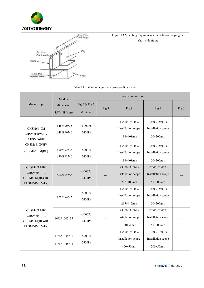



Figure 13 Mounting requirements for rails overlapping the short-side frame

# Table 1 Installation range and corresponding values

|                                                             | Module<br>dimension<br>$L*W*H$ (mm) | Installation method        |       |                                                         |                                                        |       |
|-------------------------------------------------------------|-------------------------------------|----------------------------|-------|---------------------------------------------------------|--------------------------------------------------------|-------|
| Module type                                                 |                                     | Fig 2 & Fig 3<br>$&$ Fig 4 | Fig 5 | Fig 8                                                   | Fig 9                                                  | Fig 6 |
| CHSM6610M<br>CHSM6610M/HV<br>CHSM6610P                      | 1648*990*35<br>1648*990*40          | $+5400Pa$<br>$-2400Pa$     | ---   | $+5400/-2400Pa$<br>Installation scope<br>$198 - 408$ mm | $+2400/-2400Pa$<br>Installation scope<br>$50 - 200$ mm |       |
| CHSM6610P/HV<br>CHSM6610M(BL)                               | 1650*992*35<br>1650*992*40          | $+5400Pa$<br>$-2400Pa$     |       | $+5400/-2400Pa$<br>Installation scope<br>198~408mm      | $+2400/-2400Pa$<br>Installation scope<br>$50 - 200$ mm |       |
| CHSM60M-HC<br>CHSM60P-HC<br>CHSM60M(BL)-HC<br>CHSM60M/LV-HC | 1666*992*35                         | $+5400Pa$<br>$-2400Pa$     |       | $+5400/-2400Pa$<br>Installation scope<br>207~408mm      | $+2400/-2400Pa$<br>Installation scope<br>$50 - 200$ mm |       |
|                                                             | 1675*992*35                         | $+5400Pa$<br>$-2400Pa$     |       | $+5400/-2400Pa$<br>Installation scope<br>215~415mm      | $+2400/-2400Pa$<br>Installation scope<br>$50 - 200$ mm |       |
| CHSM60M-HC<br>CHSM60P-HC<br>CHSM60M(BL)-HC<br>CHSM60M/LV-HC | 1692*1002*35                        | $+5400Pa$<br>$-2400Pa$     |       | $+5400/-2400Pa$<br>Installation scope<br>350±50mm       | $+2400/-2400Pa$<br>Installation scope<br>$50 - 200$ mm |       |
|                                                             | 1755*1038*35<br>1765*1048*35        | $+5400Pa$<br>$-2400Pa$     |       | $+5400/-2400Pa$<br>Installation scope<br>400±50mm       | $+1800/-1800Pa$<br>Installation scope<br>200±50mm      |       |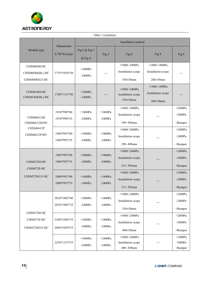

| Table 1 (continue)                            |                              |                            |                        |                                                          |                                                        |                                      |  |
|-----------------------------------------------|------------------------------|----------------------------|------------------------|----------------------------------------------------------|--------------------------------------------------------|--------------------------------------|--|
|                                               | Dimensions<br>$L^*W^*H$ (mm) | Installation method        |                        |                                                          |                                                        |                                      |  |
| Module type                                   |                              | Fig 2 & Fig 3<br>$&$ Fig 4 | Fig 5                  | Fig 8                                                    | Fig 9                                                  | Fig 6                                |  |
| CHSM60M-HC<br>CHSM60M(BL)-HC<br>CHSM60M/LV-HC | 1755*1038*30                 | $+5400Pa$<br>$-2400Pa$     |                        | $+5400/-2400Pa$<br>Installation scope<br>$350 \pm 50$ mm | $+1800/-1800Pa$<br>Installation scope<br>$200\pm50$ mm |                                      |  |
| CHSM54M-HC<br>CHSM54M(BL)-HC                  | 1708*1133*30                 | $+5400Pa$<br>$-2400Pa$     |                        | $+5400/-2400Pa$<br>Installation scope<br>$359 \pm 50$ mm | $+1400/-1400Pa$<br>Installation scope<br>$200\pm50$ mm |                                      |  |
| CHSM6612M<br>CHSM6612M/HV                     | 1954*990*40<br>1954*990*35   | $+5400Pa$<br>$-2400Pa$     | $+5400Pa$<br>$-2400Pa$ | $+5400/-2400Pa$<br>Installation scope<br>299~498mm       |                                                        | $+2400Pa$<br>$-2400Pa$<br>+Bumper    |  |
| <b>CHSM6612P</b><br>CHSM6612P/HV              | 1960*992*40<br>1960*992*35   | $+5400Pa$<br>$-2400Pa$     | $+5400Pa$<br>$-2400Pa$ | $+5400/-2400Pa$<br>Installation scope<br>299~498mm       |                                                        | $+2400Pa$<br>$-2400Pa$<br>+Bumper    |  |
| CHSM72M-HC<br>CHSM72P-HC                      | 1986*992*40<br>1986*992*35   | $+5400Pa$<br>$-2400Pa$     | $+5400Pa$<br>$-2400Pa$ | $+5400/-2400Pa$<br>Installation scope<br>$315 - 505$ mm  |                                                        | $+2400Pa$<br>$-2400Pa$<br>+Bumper    |  |
| CHSM72M/LV-HC                                 | 2000*992*40<br>2000*992*35   | $+5400Pa$<br>$-2400Pa$     | $+5400Pa$<br>$-2400Pa$ | $+5400/-2400Pa$<br>Installation scope<br>$315 - 505$ mm  |                                                        | $+2400Pa$<br>$-2400Pa$<br>$+$ Bumper |  |
|                                               | 2018*1002*40<br>2018*1002*35 | $+5400Pa$<br>$-2400Pa$     | $+2400Pa$<br>$-2400Pa$ | $+5400/-2400Pa$<br>Installation scope<br>350±50mm        |                                                        | $+2400Pa$<br>$-2400Pa$<br>+Bumper    |  |
| CHSM72M-HC<br>CHSM72P-HC<br>CHSM72M/LV-HC     | 2108*1048*35<br>2094*1038*35 | $+5400Pa$<br>$-2400Pa$     | $+2400Pa$<br>$-2400Pa$ | $+5400/-2400Pa$<br>Installation scope<br>400±50mm        |                                                        | $+2400Pa$<br>$-2400Pa$<br>+Bumper    |  |
|                                               | 2256*1133*35                 | $+5400Pa$<br>$-2400Pa$     | $+2400Pa$<br>$-2400Pa$ | $+5400/-2400Pa$<br>Installation scope<br>400~450mm       |                                                        | $+1800Pa$<br>$-1800Pa$<br>+Bumper    |  |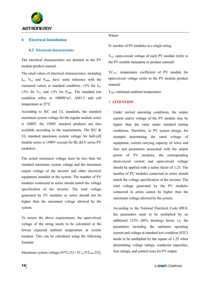

# **6 Electrical Installation**

#### **6.1 Electrical characteristics**

The electrical characteristics are detailed in the PV module product manual.

The rated values of electrical characteristics, including  $I_{\rm sc}$ ,  $V_{\rm oc}$  and  $P_{\rm mpo}$ , have some tolerance with the measured values at standard condition:  $\pm 5\%$  for I<sub>sc</sub>,  $\pm 3\%$  for V<sub>oc</sub> and  $\pm 3\%$  for P<sub>mpp</sub>. The standard test condition refers to 1000W/m2, AM1.5 and cell temperature at 25 °C.

According to IEC and UL standards, the standard maximum system voltage for the regular module series is 1000V, the 1500V standard products are also available according to the requirements. The IEC & UL standard maximum system voltage for half-cell module series is 1500V (except for BL &LV series PV modules).

The actual maximum voltage must be less than the standard maximum system voltage and the maximum output voltage of the inverter and other electrical equipment installed in the system. The number of PV modules connected in series should match the voltage specification of the inverter. The total voltage generated by PV modules in series should not be higher than the maximum voltage allowed by the system.

To ensure the above requirements, the open-circuit voltage of the string needs to be calculated at the lowest expected ambient temperature at certain location. This can be calculated using the following formula:

Maximum system voltage $\geq$ N<sup>\*</sup> $V_{oc}$ <sup>\*</sup>[1+ $TC_{voc}$ <sup>\*</sup>(T<sub>min</sub>-25)]

Where:

N: number of PV modules in a single string

Voc: open-circuit voltage of each PV module (refer to the PV module nameplate or product manual)

TCvoc: temperature coefficient of PV module for open-circuit voltage (refer to the PV module product manual)

 $T_{min}$ : minimum ambient temperature.

#### !**ATTENTION**

- Under normal operating conditions, the output current and/or voltage of the PV module may be higher than the value under standard testing conditions. Therefore, in PV system design, for example determining the rated voltage of equipment, current carrying capacity of wires and fuse and parameters associated with the output power of PV modules, the corresponding short-circuit current and open-circuit voltage should be applied with a safety factor of 1.25. The number of PV modules connected in series should match the voltage specification of the inverter. The total voltage generated by the PV modules connected in series cannot be higher than the maximum voltage allowed by the system.
- According to the National Electrical Code 690.8, the parameters need to be multiplied by an additional 125% (80% derating) factor, i.e. the parameters including the optimum operating current and voltage at standard test condition (STC) needs to be multiplied by the square of 1.25 when determining voltage ratings, conductor capacities, fuse ratings, and control sizes for PV output.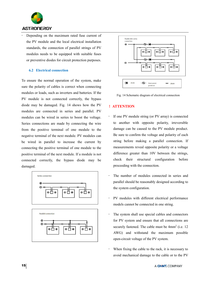

 Depending on the maximum rated fuse current of the PV module and the local electrical installation standards, the connection of parallel strings of PV modules needs to be equipped with suitable fuses or preventive diodes for circuit protection purposes.

# **6.2 Electrical connection**

To ensure the normal operation of the system, make sure the polarity of cables is correct when connecting modules or loads, such as inverters and batteries. If the PV module is not connected correctly, the bypass diode may be damaged. Fig. 14 shows how the PV modules are connected in series and parallel. PV modules can be wired in series to boost the voltage. Series connections are made by connecting the wire from the positive terminal of one module to the negative terminal of the next module. PV modules can be wired in parallel to increase the current by connecting the positive terminal of one module to the positive terminal of the next module. If a module is not connected correctly, the bypass diode may be damaged.





Fig. 14 Schematic diagram of electrical connection

# !**ATTENTION**

- If one PV module string (or PV array) is connected to another with opposite polarity, irreversible damage can be caused to the PV module product. Be sure to confirm the voltage and polarity of each string before making a parallel connection. If measurements reveal opposite polarity or a voltage difference greater than 10V between the strings, check their structural configuration before proceeding with the connection.
- The number of modules connected in series and parallel should be reasonably designed according to the system configuration.
- PV modules with different electrical performance models cannot be connected in one string.
- The system shall use special cables and connectors for PV system and ensure that all connections are securely fastened. The cable must be  $4mm^2$  (i.e. 12) AWG) and withstand the maximum possible open-circuit voltage of the PV system.
- When fixing the cable to the rack, it is necessary to avoid mechanical damage to the cable or to the PV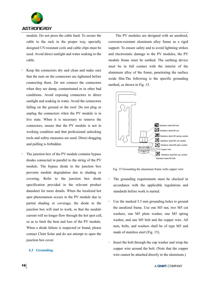

module. Do not press the cable hard. To secure the cable to the rack in the proper way, specially designed UV-resistant coils and cable clips must be used. Avoid direct sunlight and water soaking to the cable.

- Keep the connectors dry and clean and make sure that the nuts on the connectors are tightened before connecting them. Do not connect the connectors when they are damp, contaminated or in other bad conditions. Avoid exposing connectors to direct sunlight and soaking in water. Avoid the connectors falling on the ground or the roof. Do not plug or unplug the connectors when the PV module is in live state. When it is necessary to remove the connectors, ensure that the PV module is not in working condition and that professional unlocking tools and safety measures are used. Direct dragging and pulling is forbidden.
- The junction box of the PV module contains bypass diodes connected in parallel to the string of the PV module. The bypass diode in the junction box prevents module degradation due to shading or covering. Refer to the junction box diode specification provided in the relevant product datasheet for more details. When the localized hot spot phenomenon occurs in the PV module due to partial shading or coverage, the diode in the junction box will start to work, so that the module current will no longer flow through the hot spot cell, so as to limit the heat and loss of the PV module. When a diode failure is suspected or found, please contact Chint Solar and do not attempt to open the junction box cover.

#### **6.3 Grounding**

The PV modules are designed with an anodised, corrosion-resistant aluminum alloy frame as a rigid support. To ensure safety and to avoid lightning strikes and electrostatic damage to the PV modules, the PV module frame must be earthed. The earthing device must be in full contact with the interior of the aluminum alloy of the frame, penetrating the surface oxide film.The following is the specific grounding method, as shown in Fig. 15.



Fig. 15 Grounding the aluminum frame with copper wire

- The grounding requirements must be checked in accordance with the applicable regulations and standards before work is started.
- Use the marked 5.5 mm grounding holes to ground the anodized frame. Use one M5 nut, two M5 cut washers, one M5 plain washer, one M5 spring washer, and one M5 bolt and the copper wire. All nuts, bolts, and washers shall be of type M5 and made of stainless steel (Fig. 15).
- Insert the bolt through the cup washer and wrap the copper wire around the bolt. (Note that the copper wire cannot be attached directly to the aluminum.)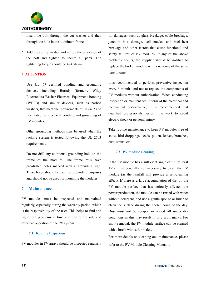

- Insert the bolt through the cut washer and then through the hole in the aluminum frame.
- Add the spring washer and nut on the other side of the bolt and tighten to secure all parts. The tightening torque should be 4~4.5N•m.

# !**ATTENTION**

- Use UL-467 certified bonding and grounding devices, including Burndy (formerly Wiley Electronics) Washer Electrical Equipment Bonding (WEEB) and similar devices, such as barbed washers, that meet the requirements of UL-467 and is suitable for electrical bonding and grounding of PV modules.
- Other grounding methods may be used when the racking system is tested following the UL 2703 requirements.
- Do not drill any additional grounding hole on the frame of the modules. The frame rails have pre-drilled holes marked with a grounding sign. These holes should be used for grounding purposes and should not be used for mounting the modules.

#### **7 Maintenance**

PV modules must be inspected and maintained regularly, especially during the warranty period, which is the responsibility of the user. This helps to find and figure out problems in time and ensure the safe and effective operation of the PV system.

#### **7.1 Routine Inspection**

PV modules in PV arrays should be inspected regularly

for damages, such as glass breakage, cable breakage, junction box damage, cell cracks, and backsheet breakage and other factors that cause functional and safety failures of PV modules. If any of the above problems occurs, the supplier should be notified to replace the broken module with a new one of the same type in time.

It is recommended to perform preventive inspection every 6 months and not to replace the components of PV modules without authorization. When conducting inspection or maintenance in term of the electrical and mechanical performance, it is recommended that qualified professionals perform the work to avoid electric shock or personal injury.

Take routine maintenance to keep PV modules free of snow, bird droppings, seeds, pollen, leaves, branches, dust, stains, etc.

#### **7.2 PV module cleaning**

If the PV module has a sufficient angle of tilt (at least 15°), it is generally not necessary to clean the PV module (as the rainfall will provide a self-cleaning effect). If there is a large accumulation of dirt on the PV module surface that has seriously affected the power production, the module can be rinsed with water without detergent, and use a gentle sponge or brush to clean the surface during the cooler hours of the day. Dust must not be scraped or wiped off under dry conditions as this may result in tiny scuff marks. For snow removal, the PV module surface can be cleaned with a brush with soft bristles.

For more details on cleaning and maintenance, please refer to the PV Module Cleaning Manual. .